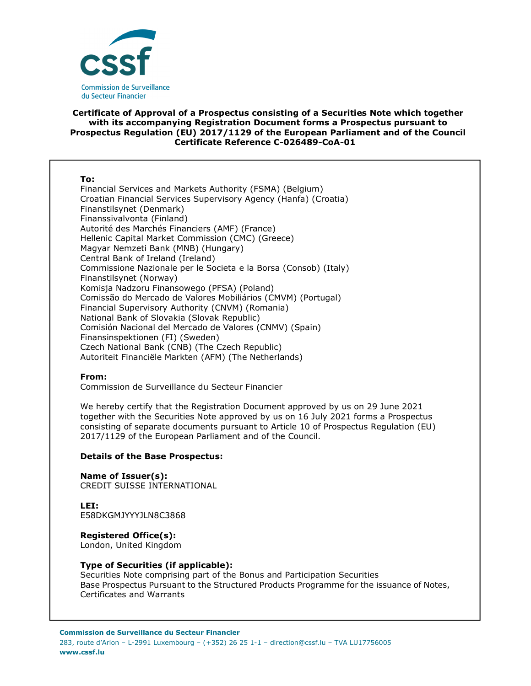

# **Certificate of Approval of a Prospectus consisting of a Securities Note which together with its accompanying Registration Document forms a Prospectus pursuant to Prospectus Regulation (EU) 2017/1129 of the European Parliament and of the Council Certificate Reference C-026489-CoA-01**

#### **To:**

Financial Services and Markets Authority (FSMA) (Belgium) Croatian Financial Services Supervisory Agency (Hanfa) (Croatia) Finanstilsynet (Denmark) Finanssivalvonta (Finland) Autorité des Marchés Financiers (AMF) (France) Hellenic Capital Market Commission (CMC) (Greece) Magyar Nemzeti Bank (MNB) (Hungary) Central Bank of Ireland (Ireland) Commissione Nazionale per le Societa e la Borsa (Consob) (Italy) Finanstilsynet (Norway) Komisja Nadzoru Finansowego (PFSA) (Poland) Comissão do Mercado de Valores Mobiliários (CMVM) (Portugal) Financial Supervisory Authority (CNVM) (Romania) National Bank of Slovakia (Slovak Republic) Comisión Nacional del Mercado de Valores (CNMV) (Spain) Finansinspektionen (FI) (Sweden) Czech National Bank (CNB) (The Czech Republic) Autoriteit Financiële Markten (AFM) (The Netherlands)

### **From:**

Commission de Surveillance du Secteur Financier

We hereby certify that the Registration Document approved by us on 29 June 2021 together with the Securities Note approved by us on 16 July 2021 forms a Prospectus consisting of separate documents pursuant to Article 10 of Prospectus Regulation (EU) 2017/1129 of the European Parliament and of the Council.

### **Details of the Base Prospectus:**

**Name of Issuer(s):**  CREDIT SUISSE INTERNATIONAL

**LEI:** E58DKGMJYYYJLN8C3868

**Registered Office(s):** 

London, United Kingdom

### **Type of Securities (if applicable):**

Securities Note comprising part of the Bonus and Participation Securities Base Prospectus Pursuant to the Structured Products Programme for the issuance of Notes, Certificates and Warrants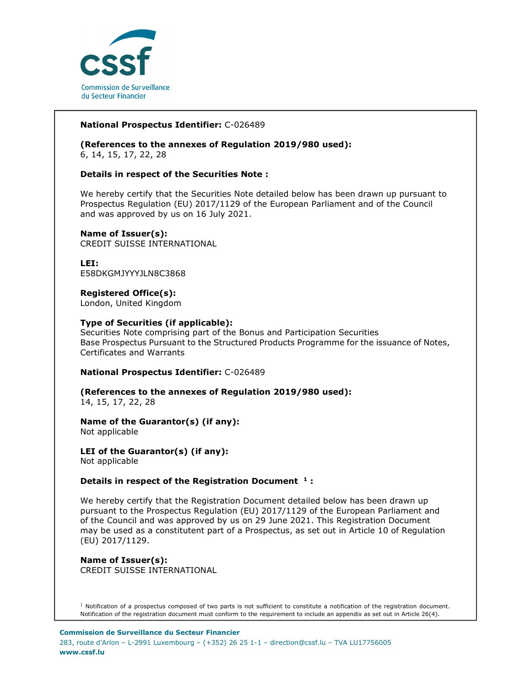

# **National Prospectus Identifier:** C-026489

**(References to the annexes of Regulation 2019/980 used):**  6, 14, 15, 17, 22, 28

### **Details in respect of the Securities Note :**

We hereby certify that the Securities Note detailed below has been drawn up pursuant to Prospectus Regulation (EU) 2017/1129 of the European Parliament and of the Council and was approved by us on 16 July 2021.

# **Name of Issuer(s):**

CREDIT SUISSE INTERNATIONAL

**LEI:** E58DKGMJYYYJLN8C3868

# **Registered Office(s):**

London, United Kingdom

### **Type of Securities (if applicable):**

Securities Note comprising part of the Bonus and Participation Securities Base Prospectus Pursuant to the Structured Products Programme for the issuance of Notes, Certificates and Warrants

### **National Prospectus Identifier:** C-026489

**(References to the annexes of Regulation 2019/980 used):**  14, 15, 17, 22, 28

#### **Name of the Guarantor(s) (if any):**  Not applicable

**LEI of the Guarantor(s) (if any):**  Not applicable

# **Details in respect of the Registration Document <sup>1</sup> :**

We hereby certify that the Registration Document detailed below has been drawn up pursuant to the Prospectus Regulation (EU) 2017/1129 of the European Parliament and of the Council and was approved by us on 29 June 2021. This Registration Document may be used as a constitutent part of a Prospectus, as set out in Article 10 of Regulation (EU) 2017/1129.

### **Name of Issuer(s):**  CREDIT SUISSE INTERNATIONAL

 $1$  Notification of a prospectus composed of two parts is not sufficient to constitute a notification of the registration document. Notification of the registration document must conform to the requirement to include an appendix as set out in Article 26(4).